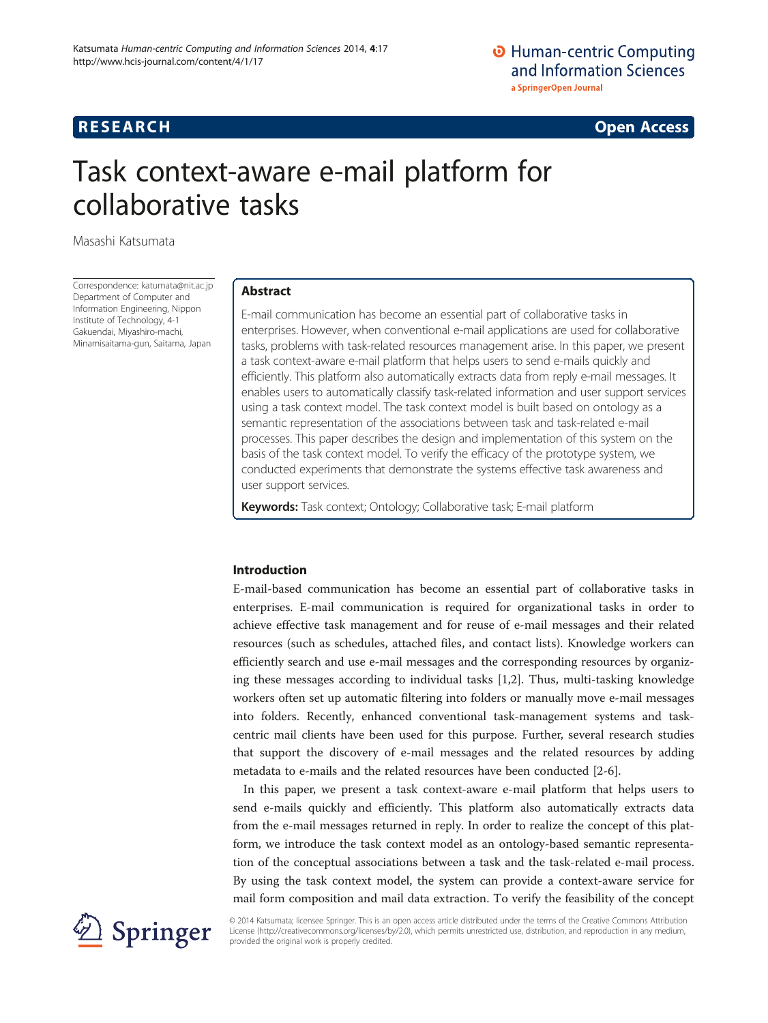# **RESEARCH CHINESEARCH CHINESEARCH**

# Task context-aware e-mail platform for collaborative tasks

Masashi Katsumata

Correspondence: [katumata@nit.ac.jp](mailto:katumata@nit.ac.jp) Department of Computer and Information Engineering, Nippon Institute of Technology, 4-1 Gakuendai, Miyashiro-machi, Minamisaitama-gun, Saitama, Japan

### Abstract

E-mail communication has become an essential part of collaborative tasks in enterprises. However, when conventional e-mail applications are used for collaborative tasks, problems with task-related resources management arise. In this paper, we present a task context-aware e-mail platform that helps users to send e-mails quickly and efficiently. This platform also automatically extracts data from reply e-mail messages. It enables users to automatically classify task-related information and user support services using a task context model. The task context model is built based on ontology as a semantic representation of the associations between task and task-related e-mail processes. This paper describes the design and implementation of this system on the basis of the task context model. To verify the efficacy of the prototype system, we conducted experiments that demonstrate the systems effective task awareness and user support services.

Keywords: Task context; Ontology; Collaborative task; E-mail platform

#### Introduction

E-mail-based communication has become an essential part of collaborative tasks in enterprises. E-mail communication is required for organizational tasks in order to achieve effective task management and for reuse of e-mail messages and their related resources (such as schedules, attached files, and contact lists). Knowledge workers can efficiently search and use e-mail messages and the corresponding resources by organizing these messages according to individual tasks [\[1,2](#page-9-0)]. Thus, multi-tasking knowledge workers often set up automatic filtering into folders or manually move e-mail messages into folders. Recently, enhanced conventional task-management systems and taskcentric mail clients have been used for this purpose. Further, several research studies that support the discovery of e-mail messages and the related resources by adding metadata to e-mails and the related resources have been conducted [\[2](#page-9-0)-[6\]](#page-9-0).

In this paper, we present a task context-aware e-mail platform that helps users to send e-mails quickly and efficiently. This platform also automatically extracts data from the e-mail messages returned in reply. In order to realize the concept of this platform, we introduce the task context model as an ontology-based semantic representation of the conceptual associations between a task and the task-related e-mail process. By using the task context model, the system can provide a context-aware service for mail form composition and mail data extraction. To verify the feasibility of the concept



© 2014 Katsumata; licensee Springer. This is an open access article distributed under the terms of the Creative Commons Attribution License [\(http://creativecommons.org/licenses/by/2.0\)](http://creativecommons.org/licenses/by/2.0), which permits unrestricted use, distribution, and reproduction in any medium, provided the original work is properly credited.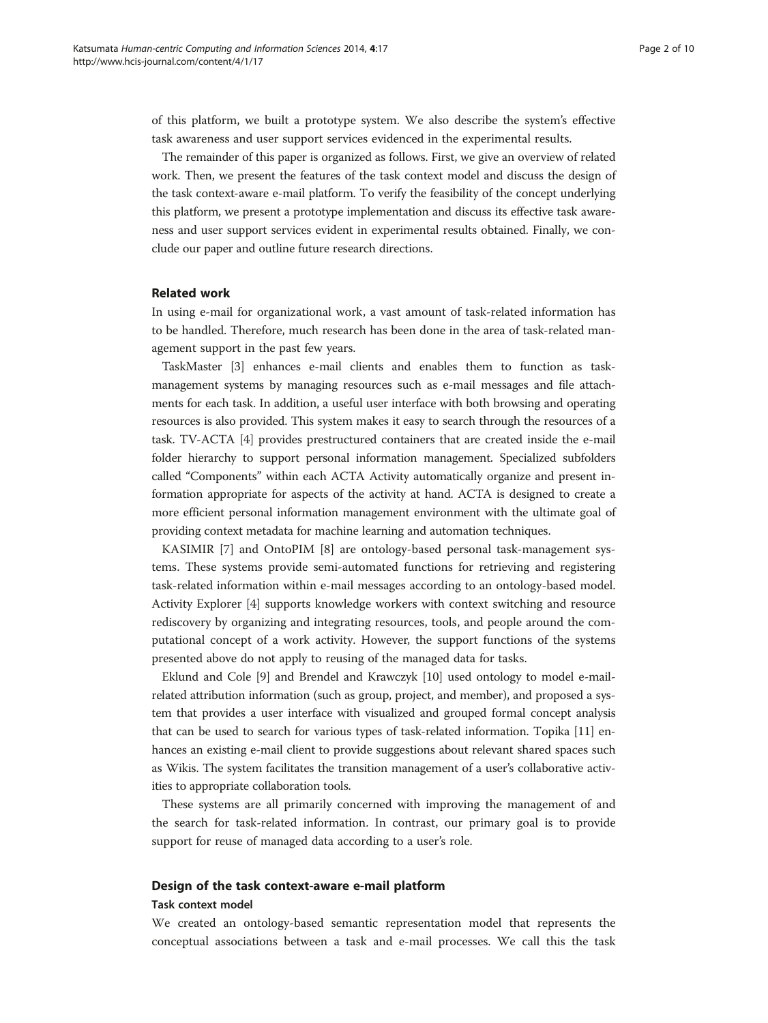of this platform, we built a prototype system. We also describe the system's effective task awareness and user support services evidenced in the experimental results.

The remainder of this paper is organized as follows. First, we give an overview of related work. Then, we present the features of the task context model and discuss the design of the task context-aware e-mail platform. To verify the feasibility of the concept underlying this platform, we present a prototype implementation and discuss its effective task awareness and user support services evident in experimental results obtained. Finally, we conclude our paper and outline future research directions.

#### Related work

In using e-mail for organizational work, a vast amount of task-related information has to be handled. Therefore, much research has been done in the area of task-related management support in the past few years.

TaskMaster [[3\]](#page-9-0) enhances e-mail clients and enables them to function as taskmanagement systems by managing resources such as e-mail messages and file attachments for each task. In addition, a useful user interface with both browsing and operating resources is also provided. This system makes it easy to search through the resources of a task. TV-ACTA [\[4\]](#page-9-0) provides prestructured containers that are created inside the e-mail folder hierarchy to support personal information management. Specialized subfolders called "Components" within each ACTA Activity automatically organize and present information appropriate for aspects of the activity at hand. ACTA is designed to create a more efficient personal information management environment with the ultimate goal of providing context metadata for machine learning and automation techniques.

KASIMIR [\[7](#page-9-0)] and OntoPIM [\[8](#page-9-0)] are ontology-based personal task-management systems. These systems provide semi-automated functions for retrieving and registering task-related information within e-mail messages according to an ontology-based model. Activity Explorer [\[4](#page-9-0)] supports knowledge workers with context switching and resource rediscovery by organizing and integrating resources, tools, and people around the computational concept of a work activity. However, the support functions of the systems presented above do not apply to reusing of the managed data for tasks.

Eklund and Cole [[9](#page-9-0)] and Brendel and Krawczyk [[10](#page-9-0)] used ontology to model e-mailrelated attribution information (such as group, project, and member), and proposed a system that provides a user interface with visualized and grouped formal concept analysis that can be used to search for various types of task-related information. Topika [\[11\]](#page-9-0) enhances an existing e-mail client to provide suggestions about relevant shared spaces such as Wikis. The system facilitates the transition management of a user's collaborative activities to appropriate collaboration tools.

These systems are all primarily concerned with improving the management of and the search for task-related information. In contrast, our primary goal is to provide support for reuse of managed data according to a user's role.

#### Design of the task context-aware e-mail platform

#### Task context model

We created an ontology-based semantic representation model that represents the conceptual associations between a task and e-mail processes. We call this the task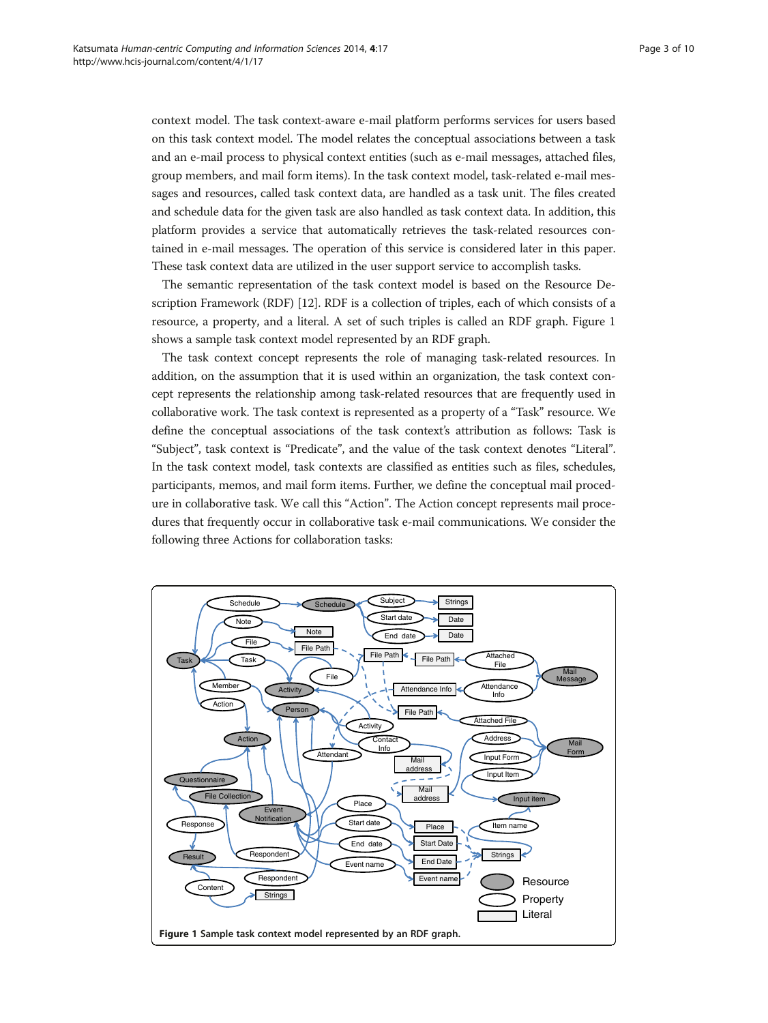<span id="page-2-0"></span>context model. The task context-aware e-mail platform performs services for users based on this task context model. The model relates the conceptual associations between a task and an e-mail process to physical context entities (such as e-mail messages, attached files, group members, and mail form items). In the task context model, task-related e-mail messages and resources, called task context data, are handled as a task unit. The files created and schedule data for the given task are also handled as task context data. In addition, this platform provides a service that automatically retrieves the task-related resources contained in e-mail messages. The operation of this service is considered later in this paper. These task context data are utilized in the user support service to accomplish tasks.

The semantic representation of the task context model is based on the Resource Description Framework (RDF) [\[12\]](#page-9-0). RDF is a collection of triples, each of which consists of a resource, a property, and a literal. A set of such triples is called an RDF graph. Figure 1 shows a sample task context model represented by an RDF graph.

The task context concept represents the role of managing task-related resources. In addition, on the assumption that it is used within an organization, the task context concept represents the relationship among task-related resources that are frequently used in collaborative work. The task context is represented as a property of a "Task" resource. We define the conceptual associations of the task context's attribution as follows: Task is "Subject", task context is "Predicate", and the value of the task context denotes "Literal". In the task context model, task contexts are classified as entities such as files, schedules, participants, memos, and mail form items. Further, we define the conceptual mail procedure in collaborative task. We call this "Action". The Action concept represents mail procedures that frequently occur in collaborative task e-mail communications. We consider the following three Actions for collaboration tasks:

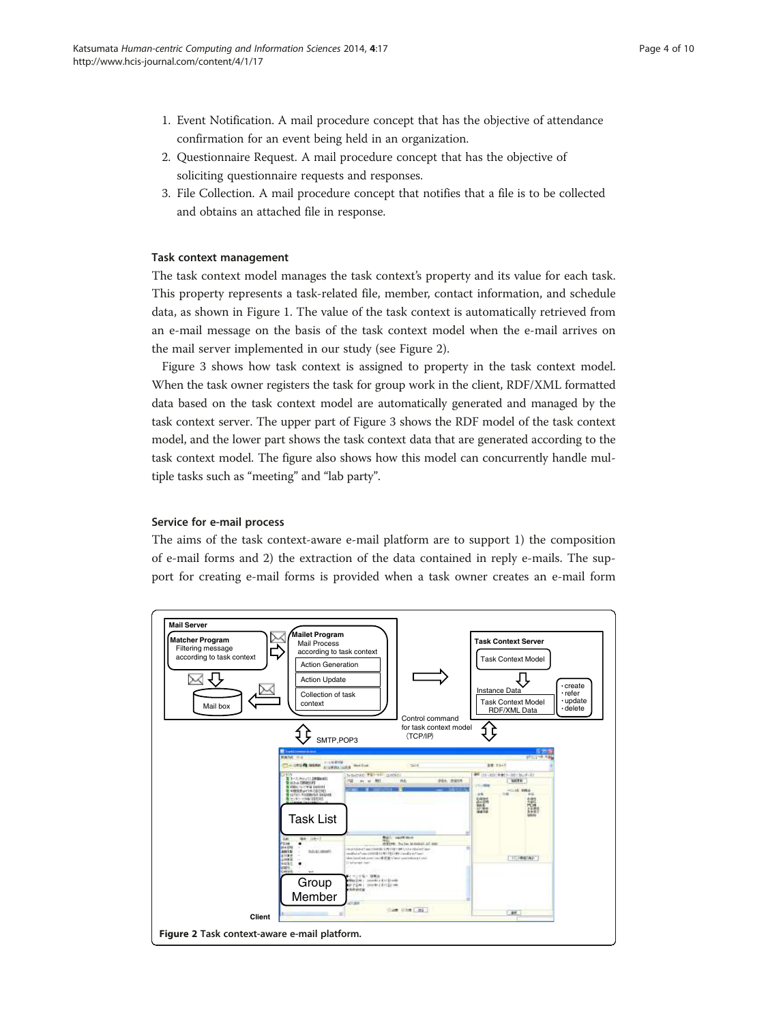- <span id="page-3-0"></span>1. Event Notification. A mail procedure concept that has the objective of attendance confirmation for an event being held in an organization.
- 2. Questionnaire Request. A mail procedure concept that has the objective of soliciting questionnaire requests and responses.
- 3. File Collection. A mail procedure concept that notifies that a file is to be collected and obtains an attached file in response.

#### Task context management

The task context model manages the task context's property and its value for each task. This property represents a task-related file, member, contact information, and schedule data, as shown in Figure [1.](#page-2-0) The value of the task context is automatically retrieved from an e-mail message on the basis of the task context model when the e-mail arrives on the mail server implemented in our study (see Figure 2).

Figure [3](#page-4-0) shows how task context is assigned to property in the task context model. When the task owner registers the task for group work in the client, RDF/XML formatted data based on the task context model are automatically generated and managed by the task context server. The upper part of Figure [3](#page-4-0) shows the RDF model of the task context model, and the lower part shows the task context data that are generated according to the task context model. The figure also shows how this model can concurrently handle multiple tasks such as "meeting" and "lab party".

#### Service for e-mail process

The aims of the task context-aware e-mail platform are to support 1) the composition of e-mail forms and 2) the extraction of the data contained in reply e-mails. The support for creating e-mail forms is provided when a task owner creates an e-mail form

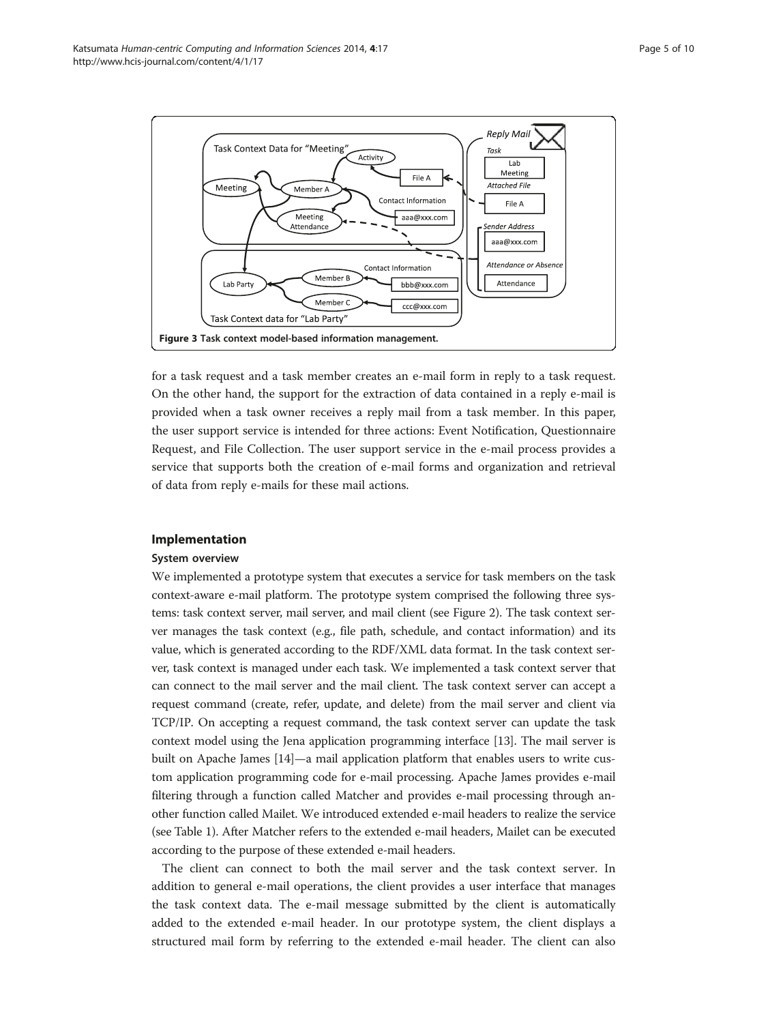<span id="page-4-0"></span>

ccc@xxx.com

Task Context data for "Lab Party' Figure 3 Task context model-based information management.

Member C

for a task request and a task member creates an e-mail form in reply to a task request. On the other hand, the support for the extraction of data contained in a reply e-mail is provided when a task owner receives a reply mail from a task member. In this paper, the user support service is intended for three actions: Event Notification, Questionnaire Request, and File Collection. The user support service in the e-mail process provides a service that supports both the creation of e-mail forms and organization and retrieval of data from reply e-mails for these mail actions.

#### Implementation

#### System overview

We implemented a prototype system that executes a service for task members on the task context-aware e-mail platform. The prototype system comprised the following three systems: task context server, mail server, and mail client (see Figure [2](#page-3-0)). The task context server manages the task context (e.g., file path, schedule, and contact information) and its value, which is generated according to the RDF/XML data format. In the task context server, task context is managed under each task. We implemented a task context server that can connect to the mail server and the mail client. The task context server can accept a request command (create, refer, update, and delete) from the mail server and client via TCP/IP. On accepting a request command, the task context server can update the task context model using the Jena application programming interface [\[13\]](#page-9-0). The mail server is built on Apache James [[14](#page-9-0)]—a mail application platform that enables users to write custom application programming code for e-mail processing. Apache James provides e-mail filtering through a function called Matcher and provides e-mail processing through another function called Mailet. We introduced extended e-mail headers to realize the service (see Table [1](#page-5-0)). After Matcher refers to the extended e-mail headers, Mailet can be executed according to the purpose of these extended e-mail headers.

The client can connect to both the mail server and the task context server. In addition to general e-mail operations, the client provides a user interface that manages the task context data. The e-mail message submitted by the client is automatically added to the extended e-mail header. In our prototype system, the client displays a structured mail form by referring to the extended e-mail header. The client can also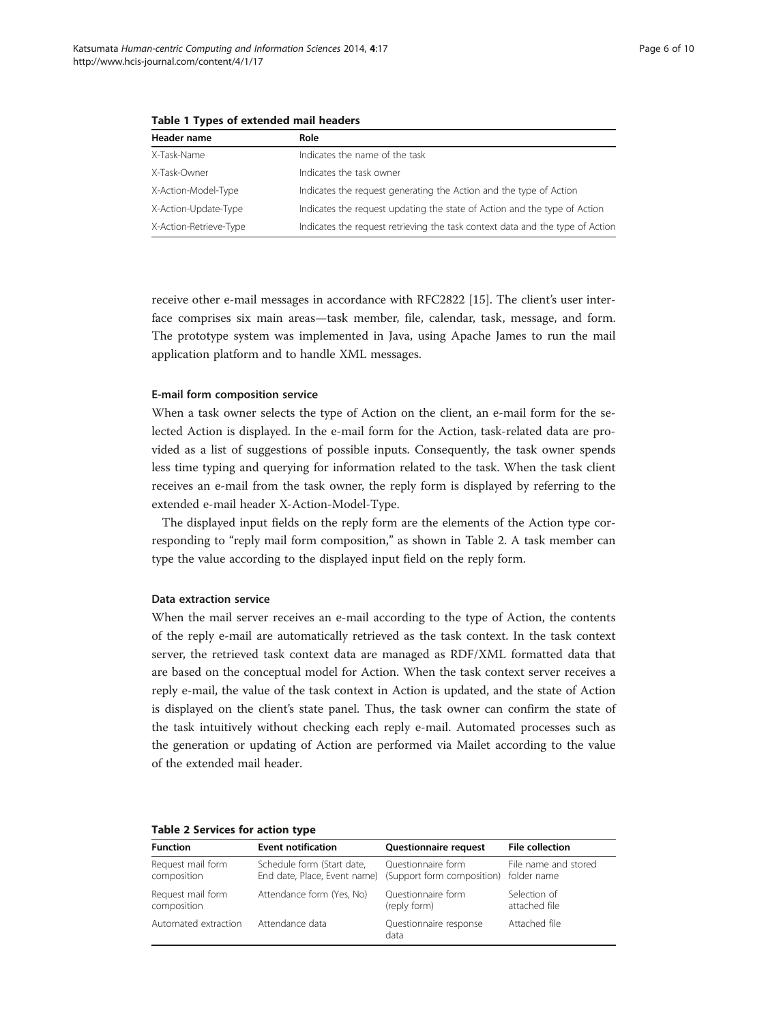| Header name            | Role                                                                          |
|------------------------|-------------------------------------------------------------------------------|
| X-Task-Name            | Indicates the name of the task                                                |
| X-Task-Owner           | Indicates the task owner                                                      |
| X-Action-Model-Type    | Indicates the request generating the Action and the type of Action            |
| X-Action-Update-Type   | Indicates the request updating the state of Action and the type of Action     |
| X-Action-Retrieve-Type | Indicates the request retrieving the task context data and the type of Action |

<span id="page-5-0"></span>

|  |  |  | Table 1 Types of extended mail headers |  |  |
|--|--|--|----------------------------------------|--|--|
|--|--|--|----------------------------------------|--|--|

receive other e-mail messages in accordance with RFC2822 [[15\]](#page-9-0). The client's user interface comprises six main areas—task member, file, calendar, task, message, and form. The prototype system was implemented in Java, using Apache James to run the mail application platform and to handle XML messages.

#### E-mail form composition service

When a task owner selects the type of Action on the client, an e-mail form for the selected Action is displayed. In the e-mail form for the Action, task-related data are provided as a list of suggestions of possible inputs. Consequently, the task owner spends less time typing and querying for information related to the task. When the task client receives an e-mail from the task owner, the reply form is displayed by referring to the extended e-mail header X-Action-Model-Type.

The displayed input fields on the reply form are the elements of the Action type corresponding to "reply mail form composition," as shown in Table 2. A task member can type the value according to the displayed input field on the reply form.

#### Data extraction service

When the mail server receives an e-mail according to the type of Action, the contents of the reply e-mail are automatically retrieved as the task context. In the task context server, the retrieved task context data are managed as RDF/XML formatted data that are based on the conceptual model for Action. When the task context server receives a reply e-mail, the value of the task context in Action is updated, and the state of Action is displayed on the client's state panel. Thus, the task owner can confirm the state of the task intuitively without checking each reply e-mail. Automated processes such as the generation or updating of Action are performed via Mailet according to the value of the extended mail header.

| <b>Function</b>                  | <b>Event notification</b>                                  | <b>Questionnaire request</b>                                 | <b>File collection</b>        |  |  |  |
|----------------------------------|------------------------------------------------------------|--------------------------------------------------------------|-------------------------------|--|--|--|
| Request mail form<br>composition | Schedule form (Start date,<br>End date, Place, Event name) | Ouestionnaire form<br>(Support form composition) folder name | File name and stored          |  |  |  |
| Request mail form<br>composition | Attendance form (Yes, No)                                  | Ouestionnaire form<br>(reply form)                           | Selection of<br>attached file |  |  |  |
| Automated extraction             | Attendance data                                            | Questionnaire response<br>data                               | Attached file                 |  |  |  |

### Table 2 Services for action type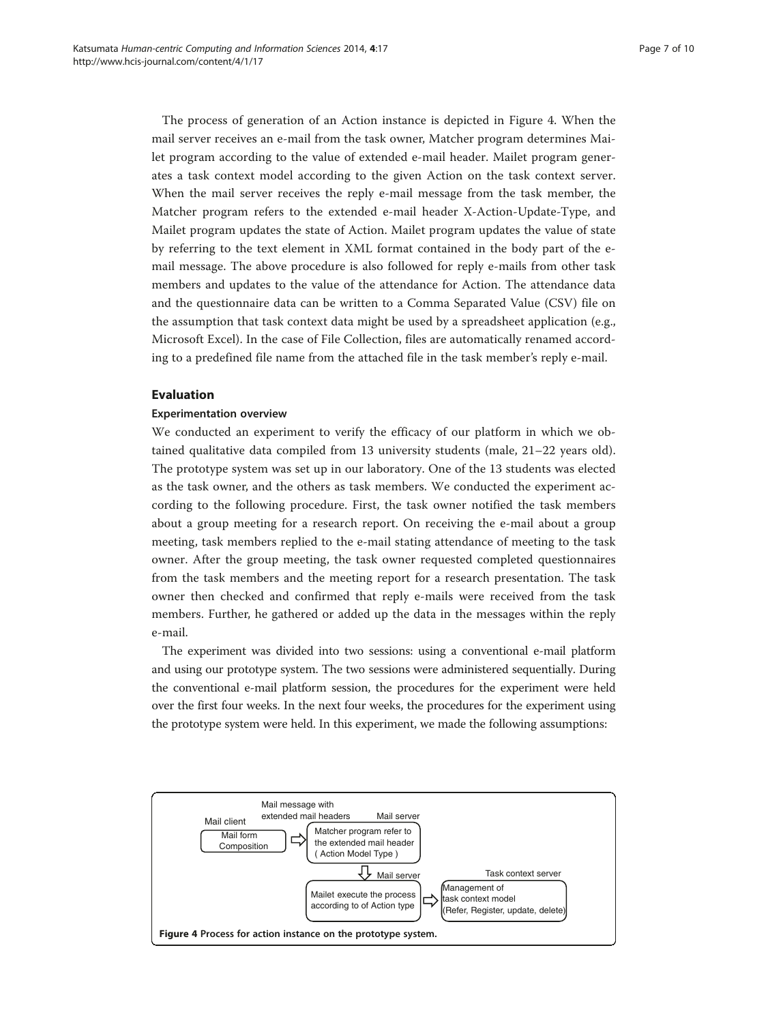The process of generation of an Action instance is depicted in Figure 4. When the mail server receives an e-mail from the task owner, Matcher program determines Mailet program according to the value of extended e-mail header. Mailet program generates a task context model according to the given Action on the task context server. When the mail server receives the reply e-mail message from the task member, the Matcher program refers to the extended e-mail header X-Action-Update-Type, and Mailet program updates the state of Action. Mailet program updates the value of state by referring to the text element in XML format contained in the body part of the email message. The above procedure is also followed for reply e-mails from other task members and updates to the value of the attendance for Action. The attendance data and the questionnaire data can be written to a Comma Separated Value (CSV) file on the assumption that task context data might be used by a spreadsheet application (e.g., Microsoft Excel). In the case of File Collection, files are automatically renamed according to a predefined file name from the attached file in the task member's reply e-mail.

#### Evaluation

#### Experimentation overview

We conducted an experiment to verify the efficacy of our platform in which we obtained qualitative data compiled from 13 university students (male, 21–22 years old). The prototype system was set up in our laboratory. One of the 13 students was elected as the task owner, and the others as task members. We conducted the experiment according to the following procedure. First, the task owner notified the task members about a group meeting for a research report. On receiving the e-mail about a group meeting, task members replied to the e-mail stating attendance of meeting to the task owner. After the group meeting, the task owner requested completed questionnaires from the task members and the meeting report for a research presentation. The task owner then checked and confirmed that reply e-mails were received from the task members. Further, he gathered or added up the data in the messages within the reply e-mail.

The experiment was divided into two sessions: using a conventional e-mail platform and using our prototype system. The two sessions were administered sequentially. During the conventional e-mail platform session, the procedures for the experiment were held over the first four weeks. In the next four weeks, the procedures for the experiment using the prototype system were held. In this experiment, we made the following assumptions:

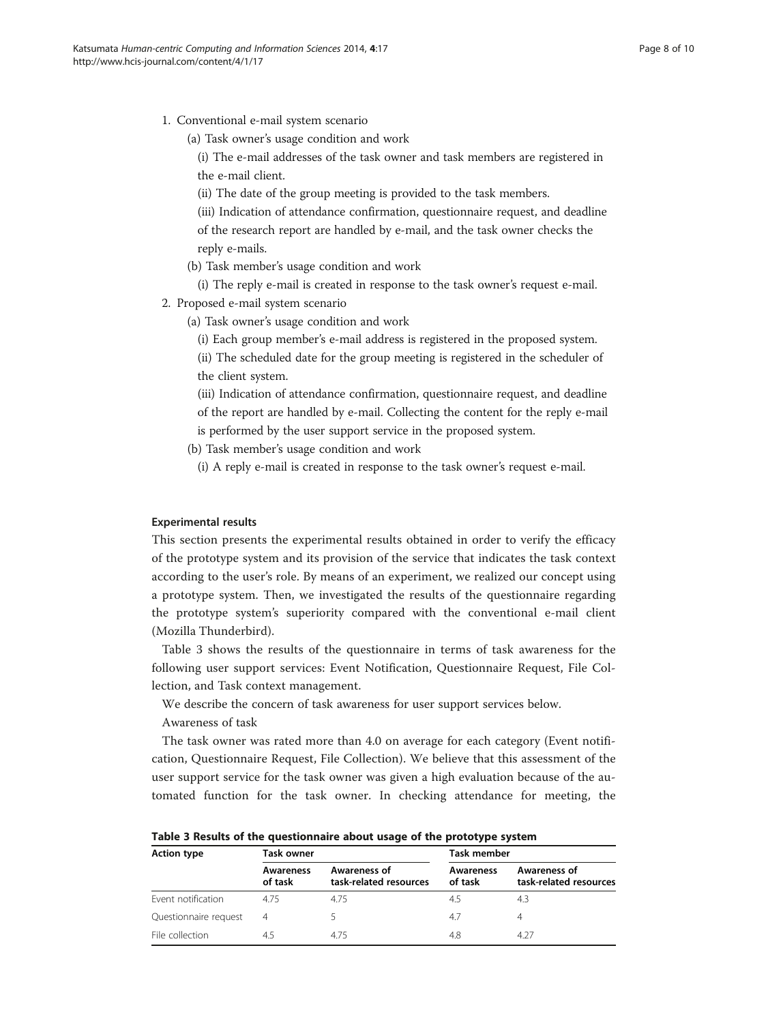1. Conventional e-mail system scenario

(a) Task owner's usage condition and work

(i) The e-mail addresses of the task owner and task members are registered in the e-mail client.

(ii) The date of the group meeting is provided to the task members.

(iii) Indication of attendance confirmation, questionnaire request, and deadline of the research report are handled by e-mail, and the task owner checks the reply e-mails.

- (b) Task member's usage condition and work
	- (i) The reply e-mail is created in response to the task owner's request e-mail.
- 2. Proposed e-mail system scenario
	- (a) Task owner's usage condition and work
		- (i) Each group member's e-mail address is registered in the proposed system.

(ii) The scheduled date for the group meeting is registered in the scheduler of the client system.

(iii) Indication of attendance confirmation, questionnaire request, and deadline of the report are handled by e-mail. Collecting the content for the reply e-mail is performed by the user support service in the proposed system.

(b) Task member's usage condition and work

(i) A reply e-mail is created in response to the task owner's request e-mail.

### Experimental results

This section presents the experimental results obtained in order to verify the efficacy of the prototype system and its provision of the service that indicates the task context according to the user's role. By means of an experiment, we realized our concept using a prototype system. Then, we investigated the results of the questionnaire regarding the prototype system's superiority compared with the conventional e-mail client (Mozilla Thunderbird).

Table 3 shows the results of the questionnaire in terms of task awareness for the following user support services: Event Notification, Questionnaire Request, File Collection, and Task context management.

We describe the concern of task awareness for user support services below.

Awareness of task

The task owner was rated more than 4.0 on average for each category (Event notification, Questionnaire Request, File Collection). We believe that this assessment of the user support service for the task owner was given a high evaluation because of the automated function for the task owner. In checking attendance for meeting, the

Table 3 Results of the questionnaire about usage of the prototype system

| <b>Action type</b>    | Task owner           |                                        | Task member          |                                        |  |
|-----------------------|----------------------|----------------------------------------|----------------------|----------------------------------------|--|
|                       | Awareness<br>of task | Awareness of<br>task-related resources | Awareness<br>of task | Awareness of<br>task-related resources |  |
| Event notification    | 475                  | 4.75                                   | 4.5                  | 4.3                                    |  |
| Questionnaire request | 4                    |                                        | 4.7                  |                                        |  |
| File collection       | 45                   | 4.75                                   | 4.8                  | 4.27                                   |  |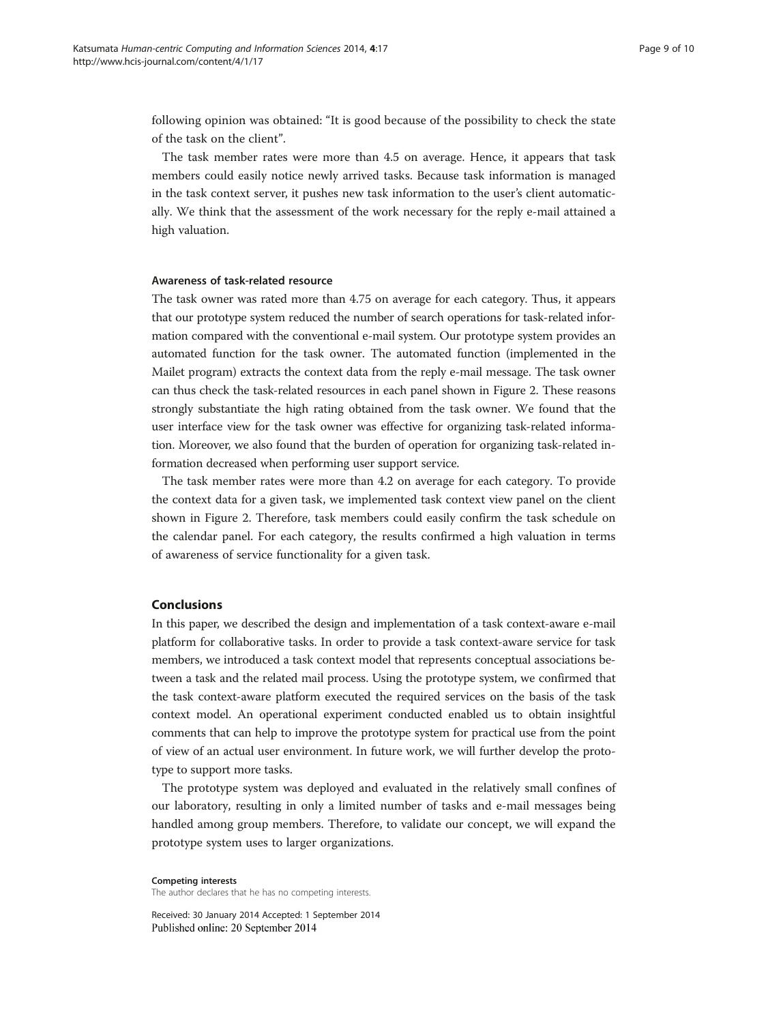following opinion was obtained: "It is good because of the possibility to check the state of the task on the client".

The task member rates were more than 4.5 on average. Hence, it appears that task members could easily notice newly arrived tasks. Because task information is managed in the task context server, it pushes new task information to the user's client automatically. We think that the assessment of the work necessary for the reply e-mail attained a high valuation.

#### Awareness of task-related resource

The task owner was rated more than 4.75 on average for each category. Thus, it appears that our prototype system reduced the number of search operations for task-related information compared with the conventional e-mail system. Our prototype system provides an automated function for the task owner. The automated function (implemented in the Mailet program) extracts the context data from the reply e-mail message. The task owner can thus check the task-related resources in each panel shown in Figure [2.](#page-3-0) These reasons strongly substantiate the high rating obtained from the task owner. We found that the user interface view for the task owner was effective for organizing task-related information. Moreover, we also found that the burden of operation for organizing task-related information decreased when performing user support service.

The task member rates were more than 4.2 on average for each category. To provide the context data for a given task, we implemented task context view panel on the client shown in Figure [2.](#page-3-0) Therefore, task members could easily confirm the task schedule on the calendar panel. For each category, the results confirmed a high valuation in terms of awareness of service functionality for a given task.

# Conclusions

In this paper, we described the design and implementation of a task context-aware e-mail platform for collaborative tasks. In order to provide a task context-aware service for task members, we introduced a task context model that represents conceptual associations between a task and the related mail process. Using the prototype system, we confirmed that the task context-aware platform executed the required services on the basis of the task context model. An operational experiment conducted enabled us to obtain insightful comments that can help to improve the prototype system for practical use from the point of view of an actual user environment. In future work, we will further develop the prototype to support more tasks.

The prototype system was deployed and evaluated in the relatively small confines of our laboratory, resulting in only a limited number of tasks and e-mail messages being handled among group members. Therefore, to validate our concept, we will expand the prototype system uses to larger organizations.

Competing interests The author declares that he has no competing interests.

Received: 30 January 2014 Accepted: 1 September 2014 Published online: 20 September 2014